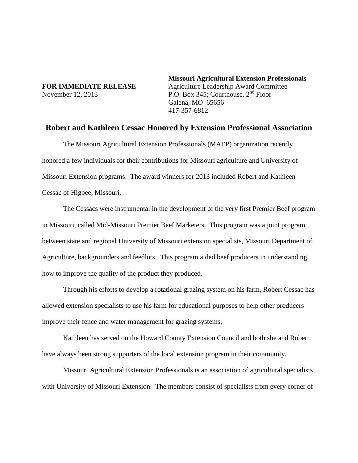**Missouri Agricultural Extension Professionals FOR IMMEDIATE RELEASE** Agriculture Leadership Award Committee November 12, 2013 P.O. Box 345; Courthouse,  $2<sup>nd</sup>$  Floor Galena, MO 65656 417-357-6812

## **Robert and Kathleen Cessac Honored by Extension Professional Association**

The Missouri Agricultural Extension Professionals (MAEP) organization recently honored a few individuals for their contributions for Missouri agriculture and University of Missouri Extension programs. The award winners for 2013 included Robert and Kathleen Cessac of Higbee, Missouri.

The Cessacs were instrumental in the development of the very first Premier Beef program in Missouri, called Mid-Missouri Premier Beef Marketers. This program was a joint program between state and regional University of Missouri extension specialists, Missouri Department of Agriculture, backgrounders and feedlots. This program aided beef producers in understanding how to improve the quality of the product they produced.

Through his efforts to develop a rotational grazing system on his farm, Robert Cessac has allowed extension specialists to use his farm for educational purposes to help other producers improve their fence and water management for grazing systems.

Kathleen has served on the Howard County Extension Council and both she and Robert have always been strong supporters of the local extension program in their community.

Missouri Agricultural Extension Professionals is an association of agricultural specialists with University of Missouri Extension. The members consist of specialists from every corner of